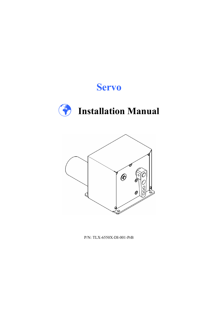# Servo





P/N: TLX-6550X-DI-001-PrB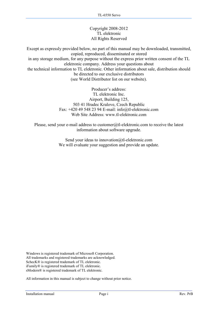#### Copyright 2008-2012 TL elektronic All Rights Reserved

Except as expressly provided below, no part of this manual may be downloaded, transmitted, copied, reproduced, disseminated or stored in any storage medium, for any purpose without the express prior written consent of the TL elektronic company. Address your questions about the technical information to TL elektronic. Other information about sale, distribution should be directed to our exclusive distributors (see World Distributor list on our website).

> Producer's address: TL elektronic Inc. Airport, Building 125, 503 41 Hradec Kralove, Czech Republic Fax: +420 49 548 23 94 E-mail: info@tl-elektronic.com Web Site Address: www.tl-elektronic.com

Please, send your e-mail address to customer@tl-elektronic.com to receive the latest information about software upgrade.

> Send your ideas to innovation@tl-elektronic.com We will evaluate your suggestion and provide an update.

Windows is registered trademark of Microsoft Corporation. All trademarks and registered trademarks are acknowledged. SchecK® is registered trademark of TL elektronic. iFamily® is registered trademark of TL elektronic. sModern® is registered trademark of TL elektronic.

All information in this manual is subject to change without prior notice.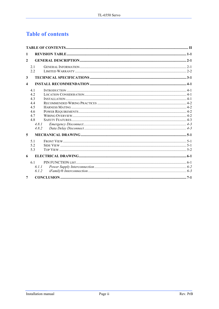# **Table of contents**

| 1                       |                                                                     |  |  |  |
|-------------------------|---------------------------------------------------------------------|--|--|--|
| $\overline{2}$          |                                                                     |  |  |  |
|                         | 21<br>2.2                                                           |  |  |  |
| 3                       |                                                                     |  |  |  |
| $\overline{\mathbf{4}}$ |                                                                     |  |  |  |
|                         | 4.1<br>42<br>43<br>4.4<br>4.5<br>4.6<br>47<br>4.8<br>4.8.1<br>4.8.2 |  |  |  |
| 5                       |                                                                     |  |  |  |
|                         | 5.1<br>5.2<br>5.3                                                   |  |  |  |
| 6                       |                                                                     |  |  |  |
|                         | 6.1<br>6.1.1<br>6.1.2                                               |  |  |  |
| 7                       |                                                                     |  |  |  |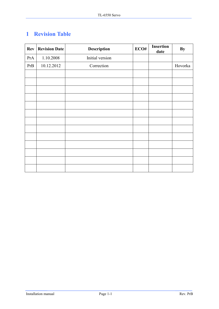# 1 Revision Table

| <b>Rev</b> | <b>Revision Date</b> | Description     | ECO# | <b>Insertion</b><br>date | <b>By</b> |
|------------|----------------------|-----------------|------|--------------------------|-----------|
| PrA        | 1.10.2008            | Initial version |      |                          |           |
| PrB        | 10.12.2012           | Correction      |      |                          | Hovorka   |
|            |                      |                 |      |                          |           |
|            |                      |                 |      |                          |           |
|            |                      |                 |      |                          |           |
|            |                      |                 |      |                          |           |
|            |                      |                 |      |                          |           |
|            |                      |                 |      |                          |           |
|            |                      |                 |      |                          |           |
|            |                      |                 |      |                          |           |
|            |                      |                 |      |                          |           |
|            |                      |                 |      |                          |           |
|            |                      |                 |      |                          |           |
|            |                      |                 |      |                          |           |
|            |                      |                 |      |                          |           |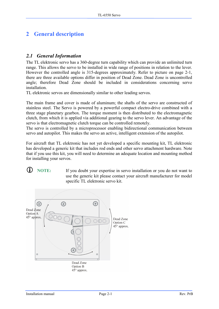### 2 General description

#### 2.1 General Information

The TL elektronic servo has a 360-degree turn capability which can provide an unlimited turn range. This allows the servo to be installed in wide range of positions in relation to the lever. However the controlled angle is 315-degrees approximately. Refer to picture on page 2-1, there are three available options differ in position of Dead Zone. Dead Zone is uncontrolled angle; therefore Dead Zone should be included in considerations concerning servo installation.

TL elektronic servos are dimensionally similar to other leading servos.

The main frame and cover is made of aluminum; the shafts of the servo are constructed of stainless steel. The Servo is powered by a powerful compact electro-drive combined with a three stage planetary gearbox. The torque moment is then distributed to the electromagnetic clutch, from which it is applied via additional gearing to the servo lever. An advantage of the servo is that electromagnetic clutch torque can be controlled remotely.

The servo is controlled by a microprocessor enabling bidirectional communication between servo and autopilot. This makes the servo an active, intelligent extension of the autopilot.

For aircraft that TL elektronic has not yet developed a specific mounting kit, TL elektronic has developed a generic kit that includes rod ends and other servo attachment hardware. Note that if you use this kit, you will need to determine an adequate location and mounting method for installing your servos.

#### NOTE: If you doubt your expertise in servo installation or you do not want to use the generic kit please contact your aircraft manufacturer for model specific TL elektronic servo kit.

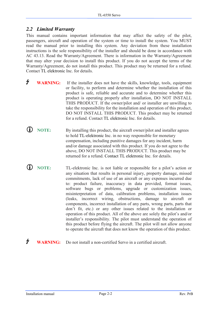#### 2.2 Limited Warranty

This manual contains important information that may affect the safety of the pilot, passengers, aircraft and operation of the system or time to install the system. You MUST read the manual prior to installing this system. Any deviation from these installation instructions is the sole responsibility of the installer and should be done in accordance with AC 43.13. Read the Warranty/Agreement. There is information in the Warranty/Agreement that may alter your decision to install this product. If you do not accept the terms of the Warranty/Agreement, do not install this product. This product may be returned for a refund. Contact TL elektronic Inc. for details.

- **V WARNING:** If the installer does not have the skills, knowledge, tools, equipment or facility, to perform and determine whether the installation of this product is safe, reliable and accurate and to determine whether this product is operating properly after installation, DO NOT INSTALL THIS PRODUCT. If the owner/pilot and/ or installer are unwilling to take the responsibility for the installation and operation of this product, DO NOT INSTALL THIS PRODUCT. This product may be returned for a refund. Contact TL elektronic Inc. for details.
- NOTE: By installing this product, the aircraft owner/pilot and installer agrees to hold TL-elektronic Inc. in no way responsible for monetary compensation, including punitive damages for any incident, harm and/or damage associated with this product. If you do not agree to the above, DO NOT INSTALL THIS PRODUCT. This product may be returned for a refund. Contact TL elektronic Inc. for details.
- NOTE: TL-elektronic Inc. is not liable or responsible for a pilot's action or any situation that results in personal injury, property damage, missed commitments, lack of use of an aircraft or any expenses incurred due to: product failure, inaccuracy in data provided, format issues, software bugs or problems, upgrade or customization issues, misinterpretation of data, calibration problems, installation issues (leaks, incorrect wiring, obstructions, damage to aircraft or components, incorrect installation of any parts, wrong parts, parts that don't fit, etc.) or any other issues related to the installation or operation of this product. All of the above are solely the pilot's and/or installer's responsibility. The pilot must understand the operation of this product before flying the aircraft. The pilot will not allow anyone to operate the aircraft that does not know the operation of this product.
- **V** WARNING: Do not install a non-certified Servo in a certified aircraft.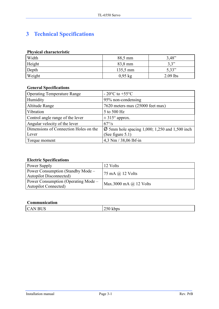# 3 Technical Specifications

#### Physical characteristic

| Width  | 88,5 mm   | 3.48"      |
|--------|-----------|------------|
| Height | 83,8 mm   | 2, 2"      |
| Depth  | 135,5 mm  | 5,33"      |
| Weight | $0.95$ kg | $2.09$ lbs |

#### General Specifications

| <b>Operating Temperature Range</b>    | $-20\textdegree$ C to $+55\textdegree$ C                   |
|---------------------------------------|------------------------------------------------------------|
| Humidity                              | 95% non-condensing                                         |
| Altitude Range                        | 7620 meters max (25000 feet max)                           |
| Vibration                             | 5 to 500 Hz                                                |
| Control angle range of the lever      | $\pm$ 315° approx.                                         |
| Angular velocity of the lever         | $67^{\circ}/s$                                             |
| Dimensions of Connection Holes on the | $\varnothing$ 5mm hole spacing 1,000; 1,250 and 1,500 inch |
| Lever                                 | (See figure 5.1)                                           |
| Torque moment                         | 4,3 Nm / 38,06 lbf-in                                      |

#### Electric Specifications

| Power Supply                                                         | $12 \text{ Volts}$                |
|----------------------------------------------------------------------|-----------------------------------|
| Power Consumption (Standby Mode –<br><b>Autopilot Disconnected</b> ) | $75 \text{ mA}$ $\omega$ 12 Volts |
| Power Consumption (Operating Mode –<br><b>Autopilot Connected</b> )  | Max.3000 mA $\omega$ 12 Volts     |

#### Communication

|  | $T_{\rm IC}$<br>RI<br>N<br>$\mathcal{C}_{\mathcal{L}}$<br>$\Delta$<br>$\cup \cup$<br><br>. |  |
|--|--------------------------------------------------------------------------------------------|--|
|--|--------------------------------------------------------------------------------------------|--|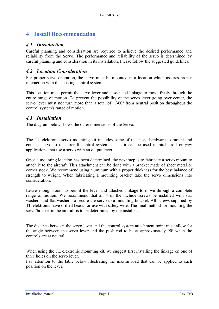### 4 Install Recommendation

#### 4.1 Introduction

Careful planning and consideration are required to achieve the desired performance and reliability from the Servo. The performance and reliability of the servo is determined by careful planning and consideration in its installation. Please follow the suggested guidelines.

#### 4.2 Location Consideration

For proper servo operation, the servo must be mounted in a location which assures proper interaction with the existing control system.

This location must permit the servo lever and associated linkage to move freely through the entire range of motion. To prevent the possibility of the servo lever going over center, the servo lever must not turn more than a total of  $+/60^\circ$  from neutral position throughout the control system's range of motion.

#### 4.3 Installation

The diagram below shows the outer dimensions of the Servo.

The TL elektronic servo mounting kit includes some of the basic hardware to mount and connect servo to the aircraft control system. This kit can be used in pitch, roll or yaw applications that use a servo with an output lever.

Once a mounting location has been determined, the next step is to fabricate a servo mount to attach it to the aircraft. This attachment can be done with a bracket made of sheet metal or corner stock. We recommend using aluminum with a proper thickness for the best balance of strength to weight. When fabricating a mounting bracket take the servo dimensions into consideration.

Leave enough room to permit the lever and attached linkage to move through a complete range of motion. We recommend that all 4 of the include screws be installed with star washers and flat washers to secure the servo to a mounting bracket. All screws supplied by TL elektronic have drilled heads for use with safety wire. The final method for mounting the servo/bracket in the aircraft is to be determined by the installer.

The distance between the servo lever and the control system attachment point must allow for the angle between the servo lever and the push rod to be at approximately 90º when the controls are at neutral.

When using the TL elektronic mounting kit, we suggest first installing the linkage on one of three holes on the servo lever.

Pay attention to the table below illustrating the maxim load that can be applied to each position on the lever.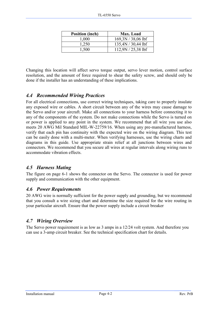| <b>Position (inch)</b> | Max. Load            |
|------------------------|----------------------|
| 1,000                  | $169,3N/38,06$ lbf   |
| 1,250                  | 135,4N / 30,44 lbf   |
| 1,500                  | $112,9N / 25,38$ lbf |

Changing this location will affect servo torque output, servo lever motion, control surface resolution, and the amount of force required to shear the safety screw, and should only be done if the installer has an understanding of these implications.

#### 4.4 Recommended Wiring Practices

For all electrical connections, use correct wiring techniques, taking care to properly insulate any exposed wire or cables. A short circuit between any of the wires may cause damage to the Servo and/or your aircraft. Make all connections to your harness before connecting it to any of the components of the system. Do not make connections while the Servo is turned on or power is applied to any point in the system. We recommend that all wire you use also meets 20 AWG Mil Standard MIL-W-22759/16. When using any pre-manufactured harness, verify that each pin has continuity with the expected wire on the wiring diagram. This test can be easily done with a multi-meter. When verifying harnesses, use the wiring charts and diagrams in this guide. Use appropriate strain relief at all junctions between wires and connectors. We recommend that you secure all wires at regular intervals along wiring runs to accommodate vibration effects.

#### 4.5 Harness Mating

The figure on page 6-1 shows the connector on the Servo. The connector is used for power supply and communication with the other equipment.

#### 4.6 Power Requirements

20 AWG wire is normally sufficient for the power supply and grounding, but we recommend that you consult a wire sizing chart and determine the size required for the wire routing in your particular aircraft. Ensure that the power supply include a circuit breaker

#### 4.7 Wiring Overview

The Servo power requirement is as low as 3 amps in a 12/24 volt system. And therefore you can use a 3-amp circuit breaker. See the technical specification chart for details.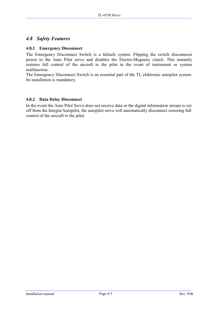#### 4.8 Safety Features

#### 4.8.1 Emergency Disconnect

The Emergency Disconnect Switch is a failsafe system. Flipping the switch disconnects power to the Auto Pilot servo and disables the Electro-Magnetic clutch. This instantly restores full control of the aircraft to the pilot in the event of instrument or system malfunction.

The Emergency Disconnect Switch is an essential part of the TL elektronic autopilot system. Its installation is mandatory.

#### 4.8.2 Data Delay Disconnect

In the event the Auto Pilot Servo does not receive data or the digital information stream is cut off from the Integra/Autopilot, the autopilot servo will automatically disconnect restoring full control of the aircraft to the pilot.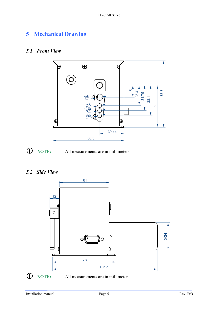# 5 Mechanical Drawing

#### 5.1 Front View



NOTE: All measurements are in millimeters.

### 5.2 Side View

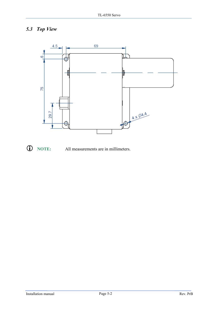### 5.3 Top View



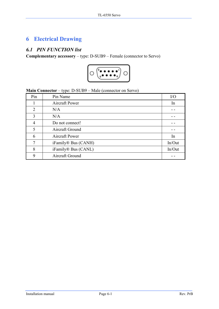## 6 Electrical Drawing

#### 6.1 PIN FUNCTION list

Complementary accessory – type: D-SUB9 – Female (connector to Servo)



Main Connector – type: D-SUB9 – Male (connector on Servo)

| Pin           | Pin Name                        | I/O    |
|---------------|---------------------------------|--------|
|               | Aircraft Power                  | In     |
| 2             | N/A                             |        |
| $\mathcal{R}$ | N/A                             |        |
| 4             | Do not connect!                 |        |
| 5             | Aircraft Ground                 |        |
| 6             | Aircraft Power                  | In     |
| 7             | iFamily <sup>®</sup> Bus (CANH) | In/Out |
| 8             | iFamily <sup>®</sup> Bus (CANL) | In/Out |
| 9             | Aircraft Ground                 |        |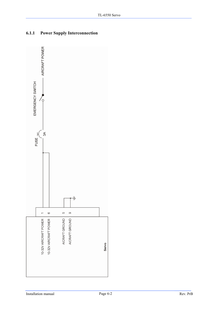

#### 6.1.1 Power Supply Interconnection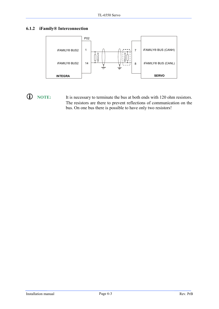#### 6.1.2 iFamily® Interconnection



 NOTE: It is necessary to terminate the bus at both ends with 120 ohm resistors. The resistors are there to prevent reflections of communication on the bus. On one bus there is possible to have only two resistors!